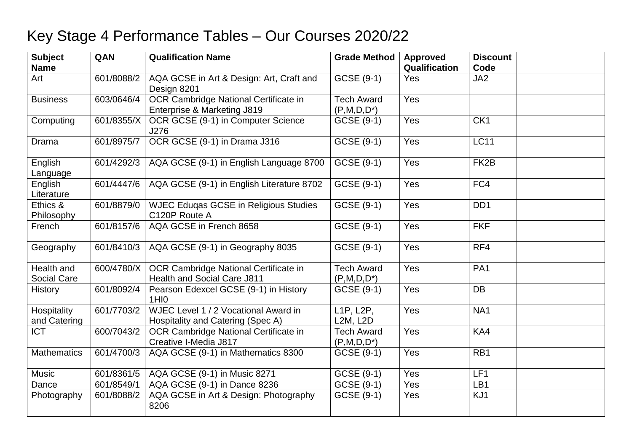## Key Stage 4 Performance Tables – Our Courses 2020/22

| <b>Subject</b><br><b>Name</b> | QAN        | <b>Qualification Name</b>                                                   | <b>Grade Method</b>                | <b>Approved</b><br>Qualification | <b>Discount</b><br>Code |
|-------------------------------|------------|-----------------------------------------------------------------------------|------------------------------------|----------------------------------|-------------------------|
| Art                           | 601/8088/2 | AQA GCSE in Art & Design: Art, Craft and<br>Design 8201                     | GCSE (9-1)                         | Yes                              | JA <sub>2</sub>         |
| <b>Business</b>               | 603/0646/4 | OCR Cambridge National Certificate in<br>Enterprise & Marketing J819        | <b>Tech Award</b><br>$(P,M,D,D^*)$ | Yes                              |                         |
| Computing                     | 601/8355/X | OCR GCSE (9-1) in Computer Science<br>J276                                  | GCSE (9-1)                         | Yes                              | CK <sub>1</sub>         |
| Drama                         | 601/8975/7 | OCR GCSE (9-1) in Drama J316                                                | GCSE (9-1)                         | Yes                              | <b>LC11</b>             |
| English<br>Language           | 601/4292/3 | AQA GCSE (9-1) in English Language 8700                                     | GCSE (9-1)                         | Yes                              | FK <sub>2</sub> B       |
| English<br>Literature         | 601/4447/6 | AQA GCSE (9-1) in English Literature 8702                                   | GCSE (9-1)                         | Yes                              | FC4                     |
| Ethics &<br>Philosophy        | 601/8879/0 | <b>WJEC Eduqas GCSE in Religious Studies</b><br>C120P Route A               | GCSE (9-1)                         | Yes                              | DD <sub>1</sub>         |
| French                        | 601/8157/6 | AQA GCSE in French 8658                                                     | GCSE (9-1)                         | Yes                              | <b>FKF</b>              |
| Geography                     | 601/8410/3 | AQA GCSE (9-1) in Geography 8035                                            | GCSE (9-1)                         | Yes                              | RF4                     |
| Health and<br>Social Care     | 600/4780/X | OCR Cambridge National Certificate in<br><b>Health and Social Care J811</b> | <b>Tech Award</b><br>$(P,M,D,D^*)$ | Yes                              | PA <sub>1</sub>         |
| <b>History</b>                | 601/8092/4 | Pearson Edexcel GCSE (9-1) in History<br>1HI <sub>0</sub>                   | GCSE (9-1)                         | Yes                              | <b>DB</b>               |
| Hospitality<br>and Catering   | 601/7703/2 | WJEC Level 1 / 2 Vocational Award in<br>Hospitality and Catering (Spec A)   | L1P, L2P,<br><b>L2M, L2D</b>       | Yes                              | NA1                     |
| <b>ICT</b>                    | 600/7043/2 | OCR Cambridge National Certificate in<br>Creative I-Media J817              | <b>Tech Award</b><br>$(P,M,D,D^*)$ | Yes                              | KA4                     |
| <b>Mathematics</b>            | 601/4700/3 | AQA GCSE (9-1) in Mathematics 8300                                          | GCSE (9-1)                         | Yes                              | RB1                     |
| <b>Music</b>                  | 601/8361/5 | AQA GCSE (9-1) in Music 8271                                                | GCSE (9-1)                         | Yes                              | LF1                     |
| Dance                         | 601/8549/1 | AQA GCSE (9-1) in Dance 8236                                                | GCSE (9-1)                         | Yes                              | LB1                     |
| Photography                   | 601/8088/2 | AQA GCSE in Art & Design: Photography<br>8206                               | GCSE (9-1)                         | Yes                              | KJ1                     |